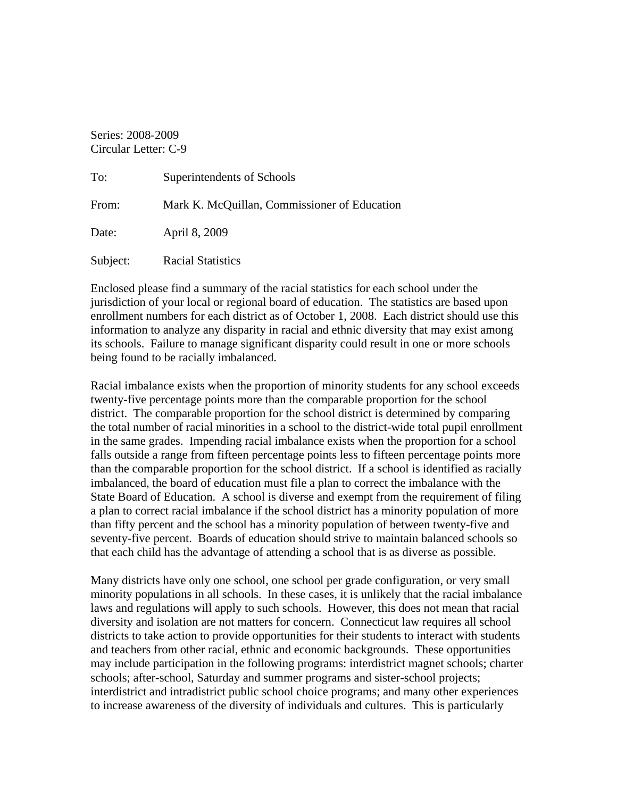Series: 2008-2009 Circular Letter: C-9

| To:      | Superintendents of Schools                   |
|----------|----------------------------------------------|
| From:    | Mark K. McQuillan, Commissioner of Education |
| Date:    | April 8, 2009                                |
| Subject: | <b>Racial Statistics</b>                     |

Enclosed please find a summary of the racial statistics for each school under the jurisdiction of your local or regional board of education. The statistics are based upon enrollment numbers for each district as of October 1, 2008. Each district should use this information to analyze any disparity in racial and ethnic diversity that may exist among its schools. Failure to manage significant disparity could result in one or more schools being found to be racially imbalanced.

Racial imbalance exists when the proportion of minority students for any school exceeds twenty-five percentage points more than the comparable proportion for the school district. The comparable proportion for the school district is determined by comparing the total number of racial minorities in a school to the district-wide total pupil enrollment in the same grades. Impending racial imbalance exists when the proportion for a school falls outside a range from fifteen percentage points less to fifteen percentage points more than the comparable proportion for the school district. If a school is identified as racially imbalanced, the board of education must file a plan to correct the imbalance with the State Board of Education. A school is diverse and exempt from the requirement of filing a plan to correct racial imbalance if the school district has a minority population of more than fifty percent and the school has a minority population of between twenty-five and seventy-five percent. Boards of education should strive to maintain balanced schools so that each child has the advantage of attending a school that is as diverse as possible.

Many districts have only one school, one school per grade configuration, or very small minority populations in all schools. In these cases, it is unlikely that the racial imbalance laws and regulations will apply to such schools. However, this does not mean that racial diversity and isolation are not matters for concern. Connecticut law requires all school districts to take action to provide opportunities for their students to interact with students and teachers from other racial, ethnic and economic backgrounds. These opportunities may include participation in the following programs: interdistrict magnet schools; charter schools; after-school, Saturday and summer programs and sister-school projects; interdistrict and intradistrict public school choice programs; and many other experiences to increase awareness of the diversity of individuals and cultures. This is particularly